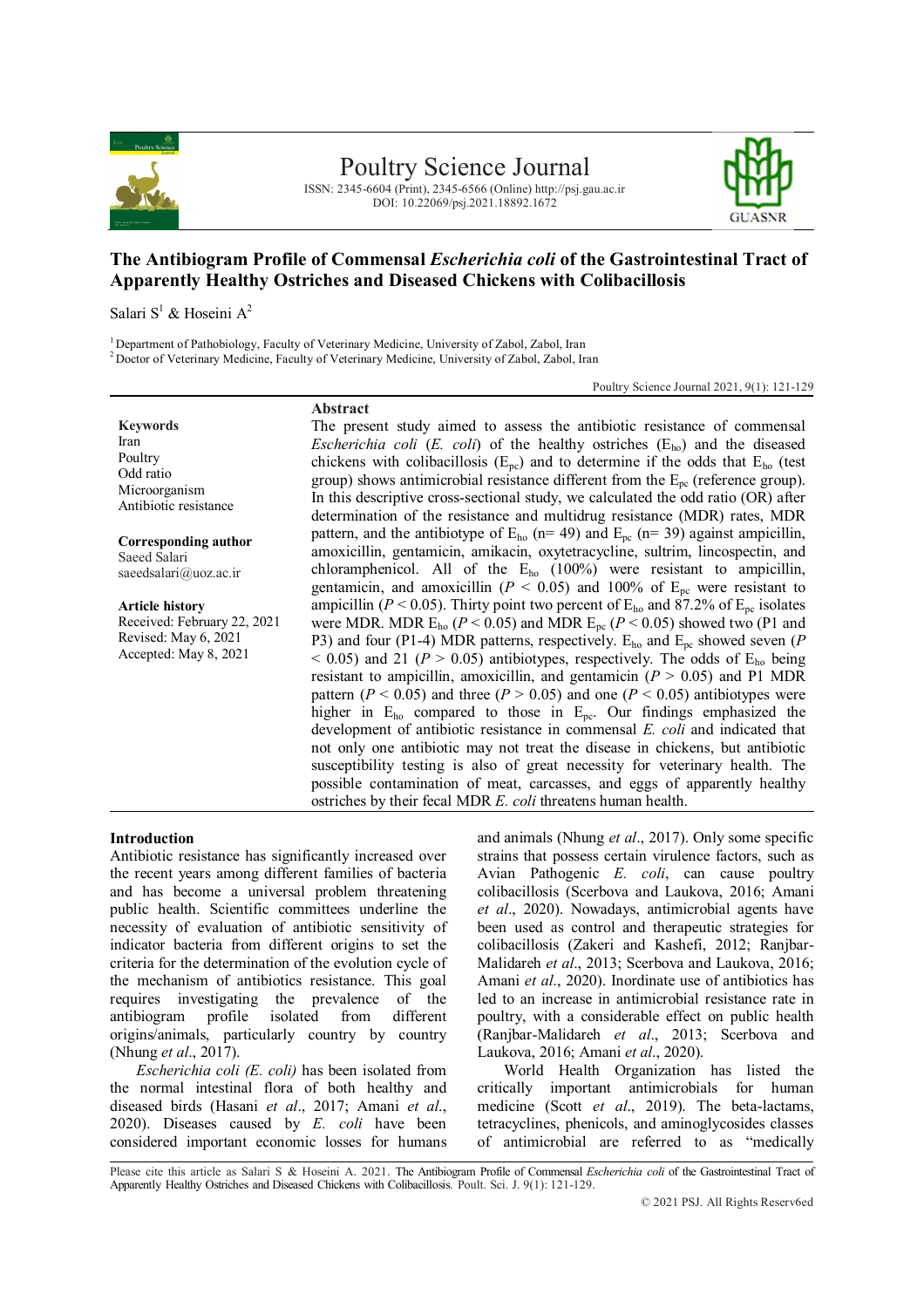

Poultry Science Journal

ISSN: 2345-6604 (Print), 2345-6566 (Online) http://psj.gau.ac.ir DOI: 10.22069/psj.2021.18892.1672



# **The Antibiogram Profile of Commensal** *Escherichia coli* **of the Gastrointestinal Tract of Apparently Healthy Ostriches and Diseased Chickens with Colibacillosis**

Salari S<sup>1</sup> & Hoseini A<sup>2</sup>

<sup>1</sup> Department of Pathobiology, Faculty of Veterinary Medicine, University of Zabol, Zabol, Iran

<sup>2</sup> Doctor of Veterinary Medicine, Faculty of Veterinary Medicine, University of Zabol, Zabol, Iran

Poultry Science Journal 2021, 9(1): 121-129

**Keywords** Iran Poultry Odd ratio Microorganism Antibiotic resistance

**Corresponding author** Saeed Salari saeedsalari@uoz.ac.ir

**Article history** Received: February 22, 2021 Revised: May 6, 2021 Accepted: May 8, 2021

**Abstract** The present study aimed to assess the antibiotic resistance of commensal *Escherichia coli* ( $E$ . *coli*) of the healthy ostriches ( $E_{ho}$ ) and the diseased chickens with colibacillosis ( $E_{pc}$ ) and to determine if the odds that  $E_{ho}$  (test group) shows antimicrobial resistance different from the  $E_{\text{pc}}$  (reference group). In this descriptive cross-sectional study, we calculated the odd ratio (OR) after determination of the resistance and multidrug resistance (MDR) rates, MDR pattern, and the antibiotype of  $E_{ho}$  (n= 49) and  $E_{pc}$  (n= 39) against ampicillin, amoxicillin, gentamicin, amikacin, oxytetracycline, sultrim, lincospectin, and chloramphenicol. All of the  $E_{ho}$  (100%) were resistant to ampicillin, gentamicin, and amoxicillin ( $P < 0.05$ ) and 100% of  $E_{\text{nc}}$  were resistant to ampicillin ( $P < 0.05$ ). Thirty point two percent of E<sub>ho</sub> and 87.2% of E<sub>pc</sub> isolates were MDR. MDR  $E_{ho}$  ( $P < 0.05$ ) and MDR  $E_{pc}$  ( $P < 0.05$ ) showed two (P1 and P3) and four (P1-4) MDR patterns, respectively. Eho and Epc showed seven (*P*  $<$  0.05) and 21 ( $P > 0.05$ ) antibiotypes, respectively. The odds of  $E_{ho}$  being resistant to ampicillin, amoxicillin, and gentamicin  $(P > 0.05)$  and P1 MDR pattern ( $P < 0.05$ ) and three ( $P > 0.05$ ) and one ( $P < 0.05$ ) antibiotypes were higher in E<sub>ho</sub> compared to those in E<sub>pc</sub>. Our findings emphasized the development of antibiotic resistance in commensal *E. coli* and indicated that not only one antibiotic may not treat the disease in chickens, but antibiotic susceptibility testing is also of great necessity for veterinary health. The possible contamination of meat, carcasses, and eggs of apparently healthy ostriches by their fecal MDR *E. coli* threatens human health.

### **Introduction**

Antibiotic resistance has significantly increased over the recent years among different families of bacteria and has become a universal problem threatening public health. Scientific committees underline the necessity of evaluation of antibiotic sensitivity of indicator bacteria from different origins to set the criteria for the determination of the evolution cycle of the mechanism of antibiotics resistance. This goal requires investigating the prevalence of the antibiogram profile isolated from different origins/animals, particularly country by country (Nhung *et al*., 2017).

*Escherichia coli (E. coli)* has been isolated from the normal intestinal flora of both healthy and diseased birds (Hasani *et al*., 2017; Amani *et al*., 2020). Diseases caused by *E. coli* have been considered important economic losses for humans

and animals (Nhung *et al*., 2017). Only some specific strains that possess certain virulence factors, such as Avian Pathogenic *E. coli*, can cause poultry colibacillosis (Scerbova and Laukova, 2016; Amani *et al*., 2020). Nowadays, antimicrobial agents have been used as control and therapeutic strategies for colibacillosis (Zakeri and Kashefi, 2012; Ranjbar-Malidareh *et al*., 2013; Scerbova and Laukova, 2016; Amani *et al*., 2020). Inordinate use of antibiotics has led to an increase in antimicrobial resistance rate in poultry, with a considerable effect on public health (Ranjbar-Malidareh *et al*., 2013; Scerbova and Laukova, 2016; Amani *et al*., 2020).

World Health Organization has listed the critically important antimicrobials for human medicine (Scott *et al*., 2019). The beta-lactams, tetracyclines, phenicols, and aminoglycosides classes of antimicrobial are referred to as "medically

Please cite this article as Salari S & Hoseini A. 2021. The Antibiogram Profile of Commensal *Escherichia coli* of the Gastrointestinal Tract of Apparently Healthy Ostriches and Diseased Chickens with Colibacillosis. Poult. Sci. J. 9(1): 121-129.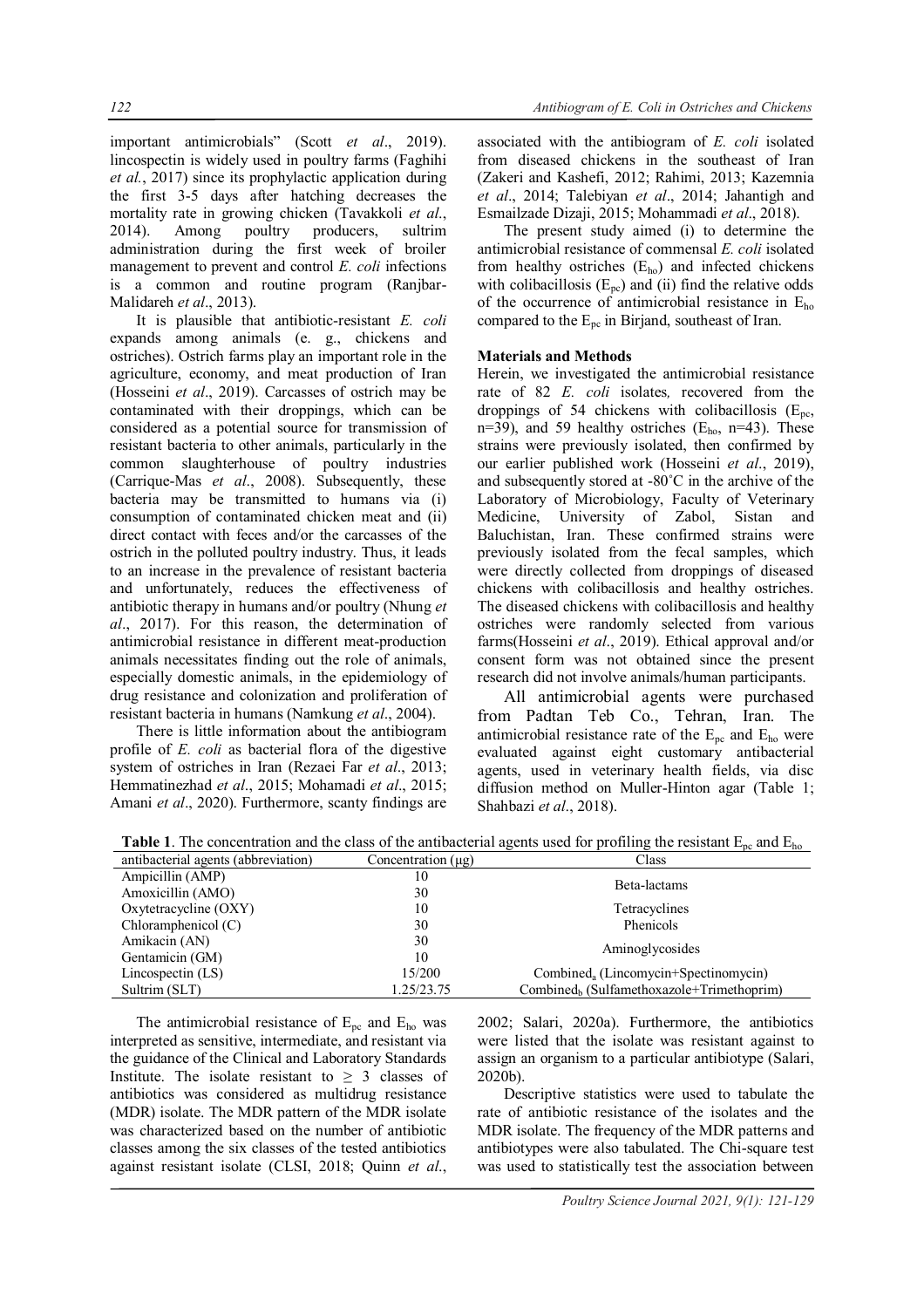important antimicrobials" (Scott *et al*., 2019). lincospectin is widely used in poultry farms (Faghihi *et al.*, 2017) since its prophylactic application during the first 3-5 days after hatching decreases the mortality rate in growing chicken (Tavakkoli *et al*., 2014). Among poultry producers, sultrim administration during the first week of broiler management to prevent and control *E. coli* infections is a common and routine program (Ranjbar-Malidareh *et al*., 2013).

It is plausible that antibiotic-resistant *E. coli* expands among animals (e. g., chickens and ostriches). Ostrich farms play an important role in the agriculture, economy, and meat production of Iran (Hosseini *et al*., 2019). Carcasses of ostrich may be contaminated with their droppings, which can be considered as a potential source for transmission of resistant bacteria to other animals, particularly in the common slaughterhouse of poultry industries (Carrique-Mas *et al*., 2008). Subsequently, these bacteria may be transmitted to humans via (i) consumption of contaminated chicken meat and (ii) direct contact with feces and/or the carcasses of the ostrich in the polluted poultry industry. Thus, it leads to an increase in the prevalence of resistant bacteria and unfortunately, reduces the effectiveness of antibiotic therapy in humans and/or poultry (Nhung *et al*., 2017). For this reason, the determination of antimicrobial resistance in different meat-production animals necessitates finding out the role of animals, especially domestic animals, in the epidemiology of drug resistance and colonization and proliferation of resistant bacteria in humans (Namkung *et al*., 2004).

There is little information about the antibiogram profile of *E. coli* as bacterial flora of the digestive system of ostriches in Iran (Rezaei Far *et al*., 2013; Hemmatinezhad *et al*., 2015; Mohamadi *et al*., 2015; Amani *et al*., 2020). Furthermore, scanty findings are

associated with the antibiogram of *E. coli* isolated from diseased chickens in the southeast of Iran (Zakeri and Kashefi, 2012; Rahimi, 2013; Kazemnia *et al*., 2014; Talebiyan *et al*., 2014; Jahantigh and Esmailzade Dizaji, 2015; Mohammadi *et al*., 2018).

The present study aimed (i) to determine the antimicrobial resistance of commensal *E. coli* isolated from healthy ostriches  $(E<sub>ho</sub>)$  and infected chickens with colibacillosis  $(E_{pc})$  and (ii) find the relative odds of the occurrence of antimicrobial resistance in  $E_{ho}$ compared to the  $E_{\text{pc}}$  in Birjand, southeast of Iran.

## **Materials and Methods**

Herein, we investigated the antimicrobial resistance rate of 82 *E. coli* isolates*,* recovered from the droppings of 54 chickens with colibacillosis  $(E_{\text{nc}})$ n=39), and 59 healthy ostriches  $(E_{ho}$ , n=43). These strains were previously isolated, then confirmed by our earlier published work (Hosseini *et al*., 2019), and subsequently stored at -80˚C in the archive of the Laboratory of Microbiology, Faculty of Veterinary Medicine, University of Zabol, Sistan and Baluchistan, Iran. These confirmed strains were previously isolated from the fecal samples, which were directly collected from droppings of diseased chickens with colibacillosis and healthy ostriches. The diseased chickens with colibacillosis and healthy ostriches were randomly selected from various farms(Hosseini *et al*., 2019). Ethical approval and/or consent form was not obtained since the present research did not involve animals/human participants.

All antimicrobial agents were purchased from Padtan Teb Co., Tehran, Iran. The antimicrobial resistance rate of the  $E_{\text{pc}}$  and  $E_{\text{ho}}$  were evaluated against eight customary antibacterial agents, used in veterinary health fields, via disc diffusion method on Muller-Hinton agar (Table 1; Shahbazi *et al*., 2018).

**Table 1**. The concentration and the class of the antibacterial agents used for profiling the resistant  $E_{nc}$  and  $E_{ho}$ 

| antibacterial agents (abbreviation) | Concentration $(\mu g)$ | Class                                                 |  |
|-------------------------------------|-------------------------|-------------------------------------------------------|--|
| Ampicillin (AMP)                    | 10                      |                                                       |  |
| Amoxicillin (AMO)                   | 30                      | Beta-lactams                                          |  |
| Oxytetracycline (OXY)               | 10                      | Tetracyclines                                         |  |
| Chloramphenicol $(C)$               | 30                      | Phenicols                                             |  |
| Amikacin (AN)                       | 30                      | Aminoglycosides                                       |  |
| Gentamicin (GM)                     | 10                      |                                                       |  |
| Lincospectin $(LS)$                 | 15/200                  | Combined <sub>a</sub> (Lincomycin+Spectinomycin)      |  |
| Sultrim (SLT)                       | 1.25/23.75              | Combined <sub>b</sub> (Sulfamethoxazole+Trimethoprim) |  |

The antimicrobial resistance of  $E_{\text{pc}}$  and  $E_{\text{ho}}$  was interpreted as sensitive, intermediate, and resistant via the guidance of the Clinical and Laboratory Standards Institute. The isolate resistant to  $\geq$  3 classes of antibiotics was considered as multidrug resistance (MDR) isolate. The MDR pattern of the MDR isolate was characterized based on the number of antibiotic classes among the six classes of the tested antibiotics against resistant isolate (CLSI, 2018; Quinn *et al*., 2002; Salari, 2020a). Furthermore, the antibiotics were listed that the isolate was resistant against to assign an organism to a particular antibiotype (Salari, 2020b).

Descriptive statistics were used to tabulate the rate of antibiotic resistance of the isolates and the MDR isolate. The frequency of the MDR patterns and antibiotypes were also tabulated. The Chi-square test was used to statistically test the association between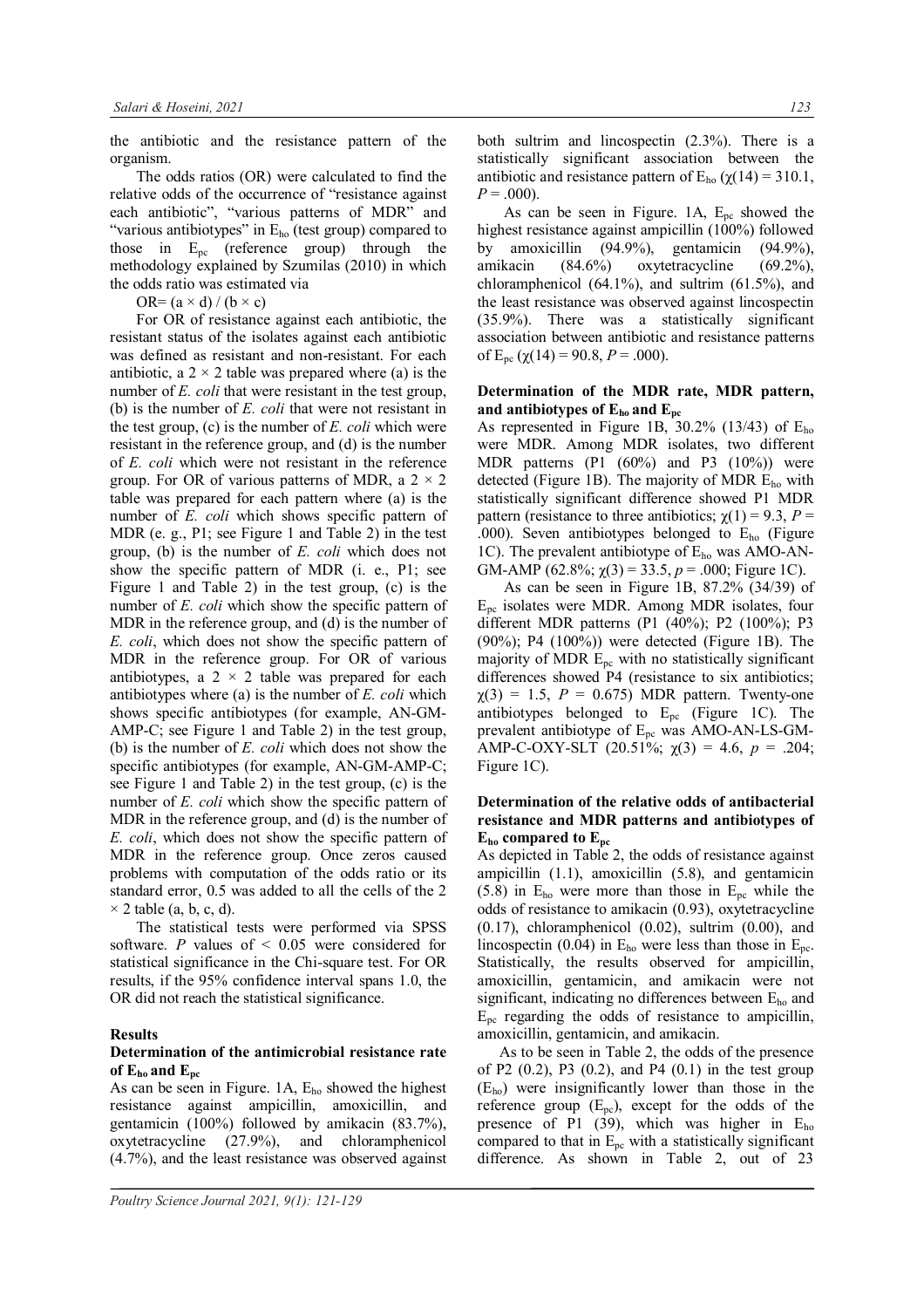the antibiotic and the resistance pattern of the organism.

The odds ratios (OR) were calculated to find the relative odds of the occurrence of "resistance against each antibiotic", "various patterns of MDR" and "various antibiotypes" in  $E_{ho}$  (test group) compared to those in  $E_{\text{pc}}$  (reference group) through the methodology explained by Szumilas (2010) in which the odds ratio was estimated via

OR=  $(a \times d) / (b \times c)$ 

For OR of resistance against each antibiotic, the resistant status of the isolates against each antibiotic was defined as resistant and non-resistant. For each antibiotic, a  $2 \times 2$  table was prepared where (a) is the number of *E. coli* that were resistant in the test group, (b) is the number of *E. coli* that were not resistant in the test group, (c) is the number of *E. coli* which were resistant in the reference group, and (d) is the number of *E. coli* which were not resistant in the reference group. For OR of various patterns of MDR, a  $2 \times 2$ table was prepared for each pattern where (a) is the number of *E. coli* which shows specific pattern of MDR (e. g., P1; see Figure 1 and Table 2) in the test group, (b) is the number of *E. coli* which does not show the specific pattern of MDR (i. e., P1; see Figure 1 and Table 2) in the test group, (c) is the number of *E. coli* which show the specific pattern of MDR in the reference group, and (d) is the number of *E. coli*, which does not show the specific pattern of MDR in the reference group. For OR of various antibiotypes, a  $2 \times 2$  table was prepared for each antibiotypes where (a) is the number of *E. coli* which shows specific antibiotypes (for example, AN-GM-AMP-C; see Figure 1 and Table 2) in the test group, (b) is the number of *E. coli* which does not show the specific antibiotypes (for example, AN-GM-AMP-C; see Figure 1 and Table 2) in the test group, (c) is the number of *E. coli* which show the specific pattern of MDR in the reference group, and (d) is the number of *E. coli*, which does not show the specific pattern of MDR in the reference group. Once zeros caused problems with computation of the odds ratio or its standard error, 0.5 was added to all the cells of the 2  $\times$  2 table (a, b, c, d).

The statistical tests were performed via SPSS software. *P* values of < 0.05 were considered for statistical significance in the Chi-square test. For OR results, if the 95% confidence interval spans 1.0, the OR did not reach the statistical significance.

#### **Results**

### **Determination of the antimicrobial resistance rate of Eho and Epc**

As can be seen in Figure. 1A, Eho showed the highest resistance against ampicillin, amoxicillin, and gentamicin (100%) followed by amikacin (83.7%), oxytetracycline (27.9%), and chloramphenicol (4.7%), and the least resistance was observed against

*Poultry Science Journal 2021, 9(1): 121-129*

both sultrim and lincospectin (2.3%). There is a statistically significant association between the antibiotic and resistance pattern of  $E_{ho}$  ( $\chi(14) = 310.1$ ,  $P = .000$ ).

As can be seen in Figure. 1A,  $E_{\text{pc}}$  showed the highest resistance against ampicillin (100%) followed by amoxicillin (94.9%), gentamicin (94.9%), amikacin (84.6%) oxytetracycline (69.2%), chloramphenicol (64.1%), and sultrim (61.5%), and the least resistance was observed against lincospectin (35.9%). There was a statistically significant association between antibiotic and resistance patterns of  $E_{\text{pc}}$  ( $\chi(14) = 90.8$ ,  $P = .000$ ).

## **Determination of the MDR rate, MDR pattern, and antibiotypes of Eho and Epc**

As represented in Figure 1B, 30.2% (13/43) of Eho were MDR. Among MDR isolates, two different MDR patterns (P1 (60%) and P3 (10%)) were detected (Figure 1B). The majority of MDR  $E_{ho}$  with statistically significant difference showed P1 MDR pattern (resistance to three antibiotics;  $\chi(1) = 9.3$ ,  $P =$ .000). Seven antibiotypes belonged to  $E_{ho}$  (Figure 1C). The prevalent antibiotype of  $E_{ho}$  was AMO-AN-GM-AMP (62.8%;  $\gamma(3) = 33.5$ ,  $p = .000$ ; Figure 1C).

As can be seen in Figure 1B, 87.2% (34/39) of  $E_{\text{nc}}$  isolates were MDR. Among MDR isolates, four different MDR patterns (P1 (40%); P2 (100%); P3 (90%); P4 (100%)) were detected (Figure 1B). The majority of MDR  $E_{pc}$  with no statistically significant differences showed P4 (resistance to six antibiotics;  $\chi(3) = 1.5$ ,  $P = 0.675$ ) MDR pattern. Twenty-one antibiotypes belonged to  $E_{pc}$  (Figure 1C). The prevalent antibiotype of Epc was AMO-AN-LS-GM-AMP-C-OXY-SLT (20.51%; χ(3) = 4.6, *p* = .204; Figure 1C).

## **Determination of the relative odds of antibacterial resistance and MDR patterns and antibiotypes of Eho compared to Epc**

As depicted in Table 2, the odds of resistance against ampicillin (1.1), amoxicillin (5.8), and gentamicin  $(5.8)$  in E<sub>ho</sub> were more than those in E<sub>pc</sub> while the odds of resistance to amikacin (0.93), oxytetracycline  $(0.17)$ , chloramphenicol  $(0.02)$ , sultrim  $(0.00)$ , and lincospectin (0.04) in  $E_{ho}$  were less than those in  $E_{\text{nc}}$ . Statistically, the results observed for ampicillin, amoxicillin, gentamicin, and amikacin were not significant, indicating no differences between  $E_{ho}$  and  $E_{\text{nc}}$  regarding the odds of resistance to ampicillin, amoxicillin, gentamicin, and amikacin.

As to be seen in Table 2, the odds of the presence of P2  $(0.2)$ , P3  $(0.2)$ , and P4  $(0.1)$  in the test group (Eho) were insignificantly lower than those in the reference group  $(E_{pc})$ , except for the odds of the presence of P1 (39), which was higher in  $E_{ho}$ compared to that in  $E_{\text{pc}}$  with a statistically significant difference. As shown in Table 2, out of 23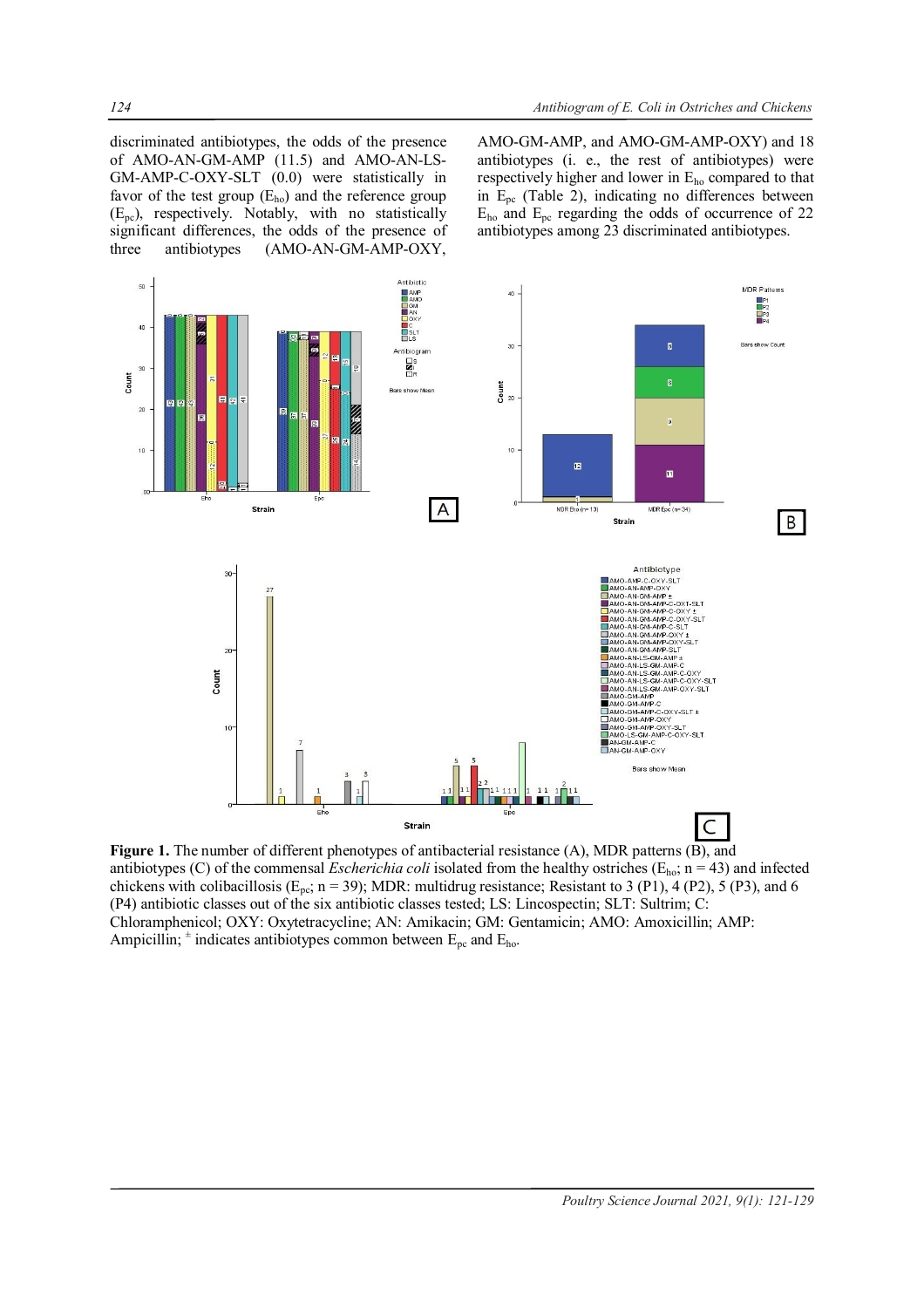discriminated antibiotypes, the odds of the presence of AMO-AN-GM-AMP (11.5) and AMO-AN-LS-GM-AMP-C-OXY-SLT (0.0) were statistically in favor of the test group  $(E_{ho})$  and the reference group (Epc), respectively. Notably, with no statistically significant differences, the odds of the presence of three antibiotypes (AMO-AN-GM-AMP-OXY,

AMO-GM-AMP, and AMO-GM-AMP-OXY) and 18 antibiotypes (i. e., the rest of antibiotypes) were respectively higher and lower in Eho compared to that in Epc (Table 2), indicating no differences between Eho and Epc regarding the odds of occurrence of 22 antibiotypes among 23 discriminated antibiotypes.



**Figure 1.** The number of different phenotypes of antibacterial resistance (A), MDR patterns (B), and antibiotypes (C) of the commensal *Escherichia coli* isolated from the healthy ostriches (Eho; n = 43) and infected chickens with colibacillosis ( $E_{pc}$ ; n = 39); MDR: multidrug resistance; Resistant to 3 (P1), 4 (P2), 5 (P3), and 6 (P4) antibiotic classes out of the six antibiotic classes tested; LS: Lincospectin; SLT: Sultrim; C: Chloramphenicol; OXY: Oxytetracycline; AN: Amikacin; GM: Gentamicin; AMO: Amoxicillin; AMP: Ampicillin;  $\pm$  indicates antibiotypes common between  $E_{\text{pc}}$  and  $E_{\text{ho}}$ .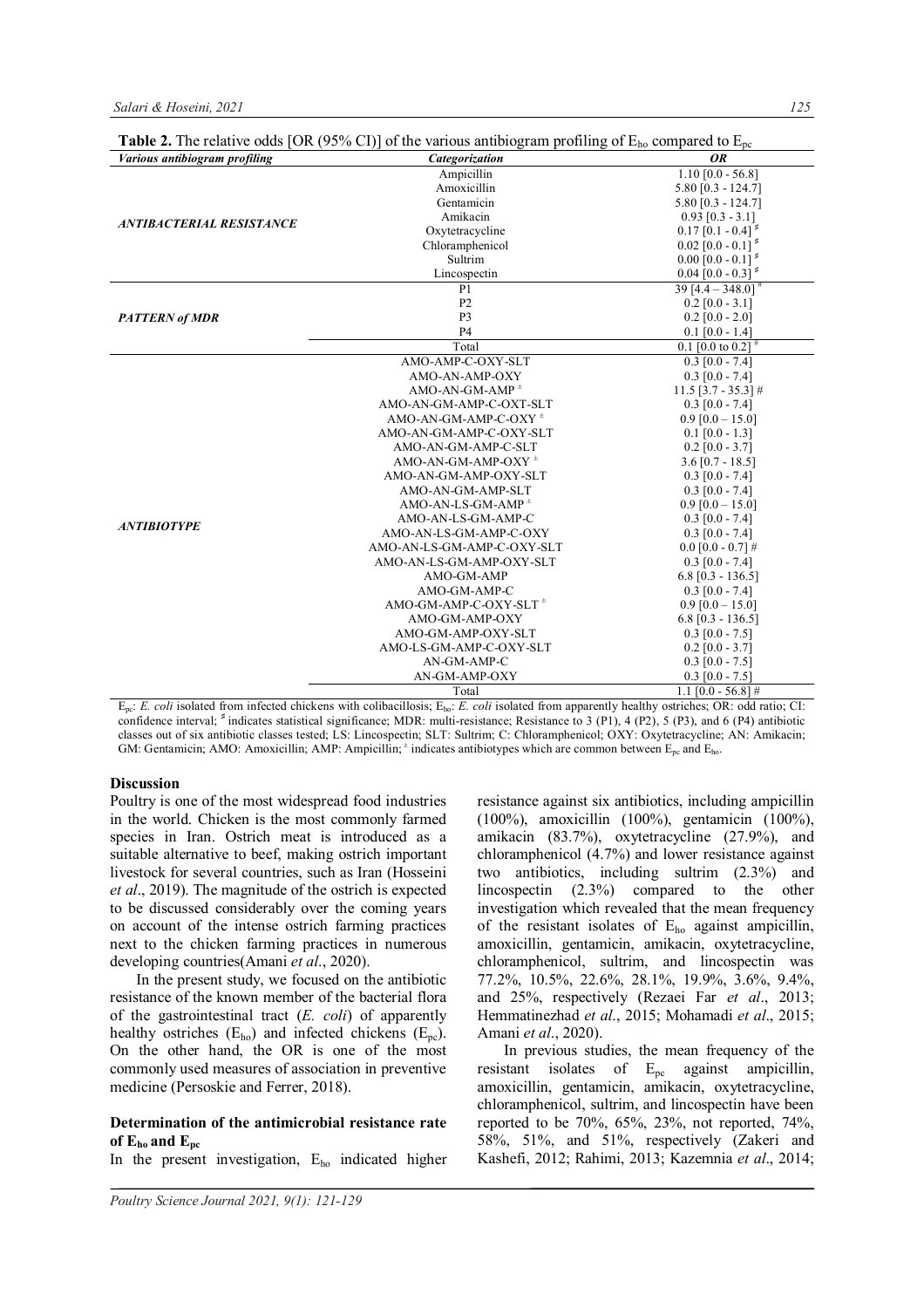| Various antibiogram profiling   | <b>Fable 2.</b> The relative bads $[OK (2270 \text{ CI})]$ of the various and regram proming of $L_{00}$ compared to $L_{00}$<br>Categorization | <b>OR</b>                        |
|---------------------------------|-------------------------------------------------------------------------------------------------------------------------------------------------|----------------------------------|
| <b>ANTIBACTERIAL RESISTANCE</b> | Ampicillin                                                                                                                                      | $1.10$ [0.0 - 56.8]              |
|                                 | Amoxicillin                                                                                                                                     | $5.80$ [0.3 - 124.7]             |
|                                 | Gentamicin                                                                                                                                      | $5.80$ [0.3 - 124.7]             |
|                                 | Amikacin                                                                                                                                        | $0.93$ [0.3 - 3.1]               |
|                                 | Oxytetracycline                                                                                                                                 | $0.17$ [0.1 - 0.4] <sup>*</sup>  |
|                                 | Chloramphenicol                                                                                                                                 | $0.02$ [0.0 - 0.1] <sup>*</sup>  |
|                                 | Sultrim                                                                                                                                         | $0.00$ [0.0 - 0.1] <sup>\$</sup> |
|                                 | Lincospectin                                                                                                                                    | $0.04$ [0.0 - 0.3] <sup>*</sup>  |
|                                 | P <sub>1</sub>                                                                                                                                  | 39 $[4.4 - 348.0]$ <sup>#</sup>  |
|                                 | P <sub>2</sub>                                                                                                                                  | $0.2$ [0.0 - 3.1]                |
| <b>PATTERN of MDR</b>           | P <sub>3</sub>                                                                                                                                  | $0.2$ [0.0 - 2.0]                |
|                                 | P <sub>4</sub>                                                                                                                                  | $0.1$ [0.0 - 1.4]                |
|                                 | Total                                                                                                                                           | 0.1 [0.0 to $0.2$ ] <sup>#</sup> |
|                                 | AMO-AMP-C-OXY-SLT                                                                                                                               | $0.3$ [0.0 - 7.4]                |
|                                 | AMO-AN-AMP-OXY                                                                                                                                  | $0.3$ [0.0 - 7.4]                |
|                                 | $AMO-AN-GM-AMP$ <sup><math>+</math></sup>                                                                                                       | $11.5$ [3.7 - 35.3] #            |
|                                 | AMO-AN-GM-AMP-C-OXT-SLT                                                                                                                         | $0.3$ [0.0 - 7.4]                |
|                                 | $AMO-AN-GM-AMP-C-OXY$ <sup><math>+</math></sup>                                                                                                 | $0.9$ [0.0 - 15.0]               |
|                                 | AMO-AN-GM-AMP-C-OXY-SLT                                                                                                                         | $0.1$ [0.0 - 1.3]                |
|                                 | AMO-AN-GM-AMP-C-SLT                                                                                                                             | $0.2$ [0.0 - 3.7]                |
|                                 | AMO-AN-GM-AMP-OXY $^{\pm}$                                                                                                                      | $3.6$ [0.7 - 18.5]               |
|                                 | AMO-AN-GM-AMP-OXY-SLT                                                                                                                           | $0.3$ [0.0 - 7.4]                |
|                                 | AMO-AN-GM-AMP-SLT                                                                                                                               | $0.3$ [0.0 - 7.4]                |
| <b>ANTIBIOTYPE</b>              | $AMO-AN-LS-GM-AMP$ <sup><math>\pm</math></sup>                                                                                                  | $0.9$ [0.0 - 15.0]               |
|                                 | AMO-AN-LS-GM-AMP-C                                                                                                                              | $0.3$ [0.0 - 7.4]                |
|                                 | AMO-AN-LS-GM-AMP-C-OXY                                                                                                                          | $0.3$ [0.0 - 7.4]                |
|                                 | AMO-AN-LS-GM-AMP-C-OXY-SLT                                                                                                                      | $0.0$ [0.0 - 0.7] #              |
|                                 | AMO-AN-LS-GM-AMP-OXY-SLT                                                                                                                        | $0.3$ [0.0 - 7.4]                |
|                                 | AMO-GM-AMP                                                                                                                                      | $6.8$ [0.3 - 136.5]              |
|                                 | AMO-GM-AMP-C                                                                                                                                    | $0.3$ [0.0 - 7.4]                |
|                                 | AMO-GM-AMP-C-OXY-SLT <sup>+</sup>                                                                                                               | $0.9$ [0.0 - 15.0]               |
|                                 | AMO-GM-AMP-OXY                                                                                                                                  | $6.8$ [0.3 - 136.5]              |
|                                 | AMO-GM-AMP-OXY-SLT                                                                                                                              | $0.3$ [0.0 - 7.5]                |
|                                 | AMO-LS-GM-AMP-C-OXY-SLT                                                                                                                         | $0.2$ [0.0 - 3.7]                |
|                                 | AN-GM-AMP-C                                                                                                                                     | $0.3$ [0.0 - 7.5]                |
|                                 | AN-GM-AMP-OXY                                                                                                                                   | $0.3$ [0.0 - 7.5]                |
|                                 | Total                                                                                                                                           | $1.1$ [0.0 - 56.8] #             |

**Table 2.** The relative odds  $[OR (95% CI)]$  of the various antibiogram profiling of  $E<sub>h</sub>$  compared to E

Epc: *E. coli* isolated from infected chickens with colibacillosis; Eho: *E. coli* isolated from apparently healthy ostriches; OR: odd ratio; CI: confidence interval; <sup>♯</sup>indicates statistical significance; MDR: multi-resistance; Resistance to 3 (P1), 4 (P2), 5 (P3), and 6 (P4) antibiotic classes out of six antibiotic classes tested; LS: Lincospectin; SLT: Sultrim; C: Chloramphenicol; OXY: Oxytetracycline; AN: Amikacin; GM: Gentamicin; AMO: Amoxicillin; AMP: Ampicillin;  $*$  indicates antibiotypes which are common between  $E_{pc}$  and  $E_{ho}$ .

#### **Discussion**

Poultry is one of the most widespread food industries in the world. Chicken is the most commonly farmed species in Iran. Ostrich meat is introduced as a suitable alternative to beef, making ostrich important livestock for several countries, such as Iran (Hosseini *et al*., 2019). The magnitude of the ostrich is expected to be discussed considerably over the coming years on account of the intense ostrich farming practices next to the chicken farming practices in numerous developing countries(Amani *et al*., 2020).

In the present study, we focused on the antibiotic resistance of the known member of the bacterial flora of the gastrointestinal tract (*E. coli*) of apparently healthy ostriches  $(E_{ho})$  and infected chickens  $(E_{nc})$ . On the other hand, the OR is one of the most commonly used measures of association in preventive medicine (Persoskie and Ferrer, 2018).

### **Determination of the antimicrobial resistance rate of Eho and Epc**

In the present investigation,  $E_{ho}$  indicated higher

resistance against six antibiotics, including ampicillin (100%), amoxicillin (100%), gentamicin (100%), amikacin (83.7%), oxytetracycline (27.9%), and chloramphenicol (4.7%) and lower resistance against two antibiotics, including sultrim (2.3%) and lincospectin (2.3%) compared to the other investigation which revealed that the mean frequency of the resistant isolates of  $E_{ho}$  against ampicillin, amoxicillin, gentamicin, amikacin, oxytetracycline, chloramphenicol, sultrim, and lincospectin was 77.2%, 10.5%, 22.6%, 28.1%, 19.9%, 3.6%, 9.4%, and 25%, respectively (Rezaei Far *et al*., 2013; Hemmatinezhad *et al*., 2015; Mohamadi *et al*., 2015; Amani *et al*., 2020).

In previous studies, the mean frequency of the resistant isolates of  $E_{pc}$  against ampicillin, amoxicillin, gentamicin, amikacin, oxytetracycline, chloramphenicol, sultrim, and lincospectin have been reported to be 70%, 65%, 23%, not reported, 74%, 58%, 51%, and 51%, respectively (Zakeri and Kashefi, 2012; Rahimi, 2013; Kazemnia *et al*., 2014;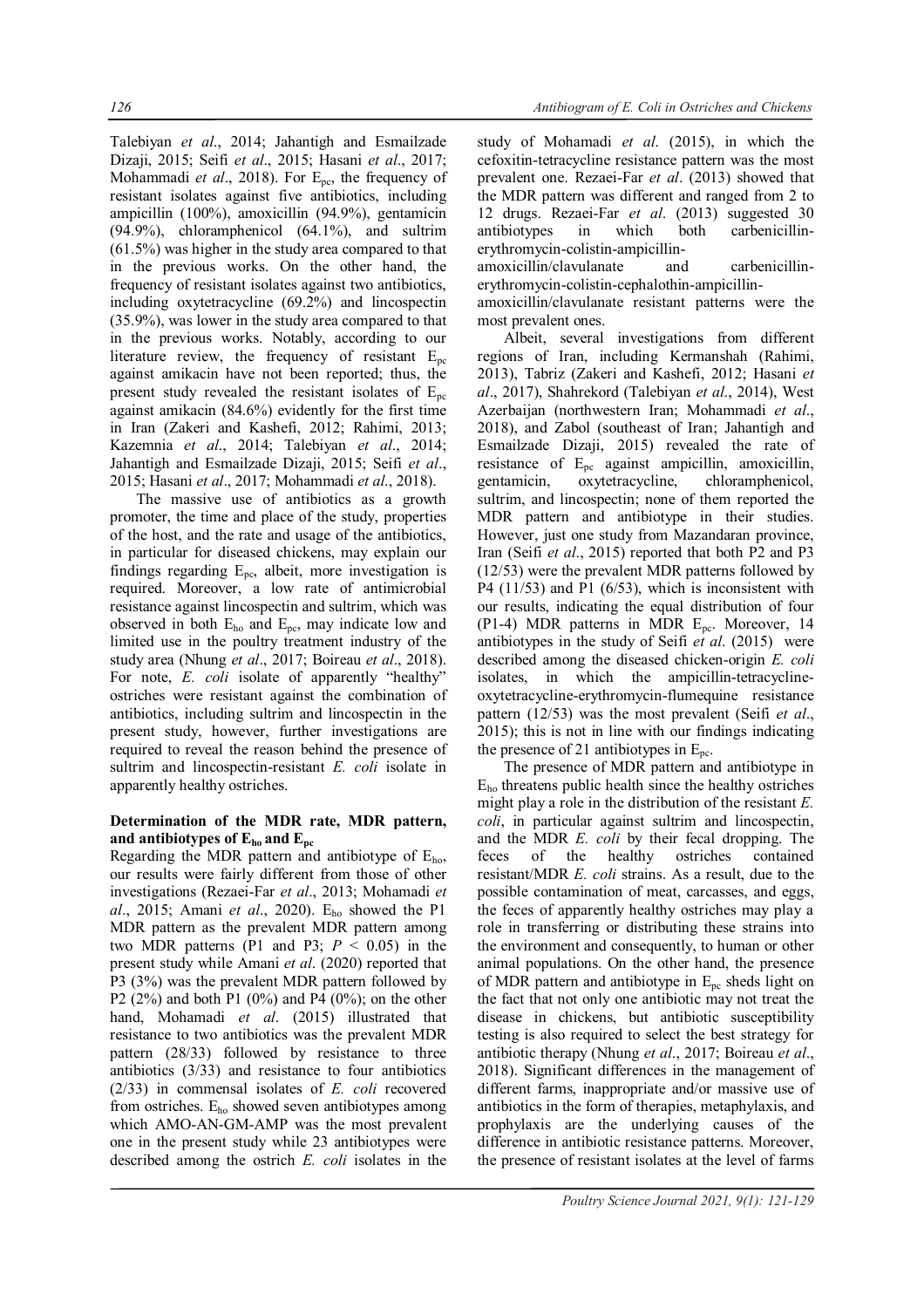Talebiyan *et al*., 2014; Jahantigh and Esmailzade Dizaji, 2015; Seifi *et al*., 2015; Hasani *et al*., 2017; Mohammadi *et al.*, 2018). For E<sub>pc</sub>, the frequency of resistant isolates against five antibiotics, including ampicillin (100%), amoxicillin (94.9%), gentamicin (94.9%), chloramphenicol (64.1%), and sultrim (61.5%) was higher in the study area compared to that in the previous works. On the other hand, the frequency of resistant isolates against two antibiotics, including oxytetracycline (69.2%) and lincospectin (35.9%), was lower in the study area compared to that in the previous works. Notably, according to our literature review, the frequency of resistant  $E_{\text{pc}}$ against amikacin have not been reported; thus, the present study revealed the resistant isolates of  $E_{nc}$ against amikacin (84.6%) evidently for the first time in Iran (Zakeri and Kashefi, 2012; Rahimi, 2013; Kazemnia *et al*., 2014; Talebiyan *et al*., 2014; Jahantigh and Esmailzade Dizaji, 2015; Seifi *et al*., 2015; Hasani *et al*., 2017; Mohammadi *et al*., 2018).

The massive use of antibiotics as a growth promoter, the time and place of the study, properties of the host, and the rate and usage of the antibiotics, in particular for diseased chickens, may explain our findings regarding  $E_{\text{pc}}$ , albeit, more investigation is required. Moreover, a low rate of antimicrobial resistance against lincospectin and sultrim, which was observed in both  $E_{ho}$  and  $E_{pc}$ , may indicate low and limited use in the poultry treatment industry of the study area (Nhung *et al*., 2017; Boireau *et al*., 2018). For note, *E. coli* isolate of apparently "healthy" ostriches were resistant against the combination of antibiotics, including sultrim and lincospectin in the present study, however, further investigations are required to reveal the reason behind the presence of sultrim and lincospectin-resistant *E. coli* isolate in apparently healthy ostriches.

## **Determination of the MDR rate, MDR pattern,** and antibiotypes of  $E_{ho}$  and  $E_{pc}$

Regarding the MDR pattern and antibiotype of  $E_{ho}$ , our results were fairly different from those of other investigations (Rezaei-Far *et al*., 2013; Mohamadi *et al*., 2015; Amani *et al*., 2020). Eho showed the P1 MDR pattern as the prevalent MDR pattern among two MDR patterns (P1 and P3:  $P \le 0.05$ ) in the present study while Amani *et al*. (2020) reported that P3 (3%) was the prevalent MDR pattern followed by P2 (2%) and both P1 (0%) and P4 (0%); on the other hand, Mohamadi *et al*. (2015) illustrated that resistance to two antibiotics was the prevalent MDR pattern (28/33) followed by resistance to three antibiotics (3/33) and resistance to four antibiotics (2/33) in commensal isolates of *E. coli* recovered from ostriches. Eho showed seven antibiotypes among which AMO-AN-GM-AMP was the most prevalent one in the present study while 23 antibiotypes were described among the ostrich *E. coli* isolates in the

study of Mohamadi *et al*. (2015), in which the cefoxitin-tetracycline resistance pattern was the most prevalent one. Rezaei-Far *et al*. (2013) showed that the MDR pattern was different and ranged from 2 to 12 drugs. Rezaei-Far *et al*. (2013) suggested 30 antibiotypes in which both carbenicillinerythromycin-colistin-ampicillin-

amoxicillin/clavulanate and carbenicillinerythromycin-colistin-cephalothin-ampicillin-

amoxicillin/clavulanate resistant patterns were the most prevalent ones.

Albeit, several investigations from different regions of Iran, including Kermanshah (Rahimi, 2013), Tabriz (Zakeri and Kashefi, 2012; Hasani *et al*., 2017), Shahrekord (Talebiyan *et al*., 2014), West Azerbaijan (northwestern Iran; Mohammadi *et al*., 2018), and Zabol (southeast of Iran; Jahantigh and Esmailzade Dizaji, 2015) revealed the rate of resistance of Epc against ampicillin, amoxicillin, gentamicin, oxytetracycline, chloramphenicol, sultrim, and lincospectin; none of them reported the MDR pattern and antibiotype in their studies. However, just one study from Mazandaran province, Iran (Seifi *et al*., 2015) reported that both P2 and P3 (12/53) were the prevalent MDR patterns followed by P4 (11/53) and P1 (6/53), which is inconsistent with our results, indicating the equal distribution of four (P1-4) MDR patterns in MDR Epc. Moreover, 14 antibiotypes in the study of Seifi *et al*. (2015) were described among the diseased chicken-origin *E. coli* isolates, in which the ampicillin-tetracyclineoxytetracycline-erythromycin-flumequine resistance pattern (12/53) was the most prevalent (Seifi *et al*., 2015); this is not in line with our findings indicating the presence of 21 antibiotypes in  $E_{\text{pc}}$ .

The presence of MDR pattern and antibiotype in  $E_{ho}$  threatens public health since the healthy ostriches might play a role in the distribution of the resistant *E. coli*, in particular against sultrim and lincospectin, and the MDR *E. coli* by their fecal dropping. The feces of the healthy ostriches contained resistant/MDR *E. coli* strains. As a result, due to the possible contamination of meat, carcasses, and eggs, the feces of apparently healthy ostriches may play a role in transferring or distributing these strains into the environment and consequently, to human or other animal populations. On the other hand, the presence of MDR pattern and antibiotype in  $E_{pc}$  sheds light on the fact that not only one antibiotic may not treat the disease in chickens, but antibiotic susceptibility testing is also required to select the best strategy for antibiotic therapy (Nhung *et al*., 2017; Boireau *et al*., 2018). Significant differences in the management of different farms, inappropriate and/or massive use of antibiotics in the form of therapies, metaphylaxis, and prophylaxis are the underlying causes of the difference in antibiotic resistance patterns. Moreover, the presence of resistant isolates at the level of farms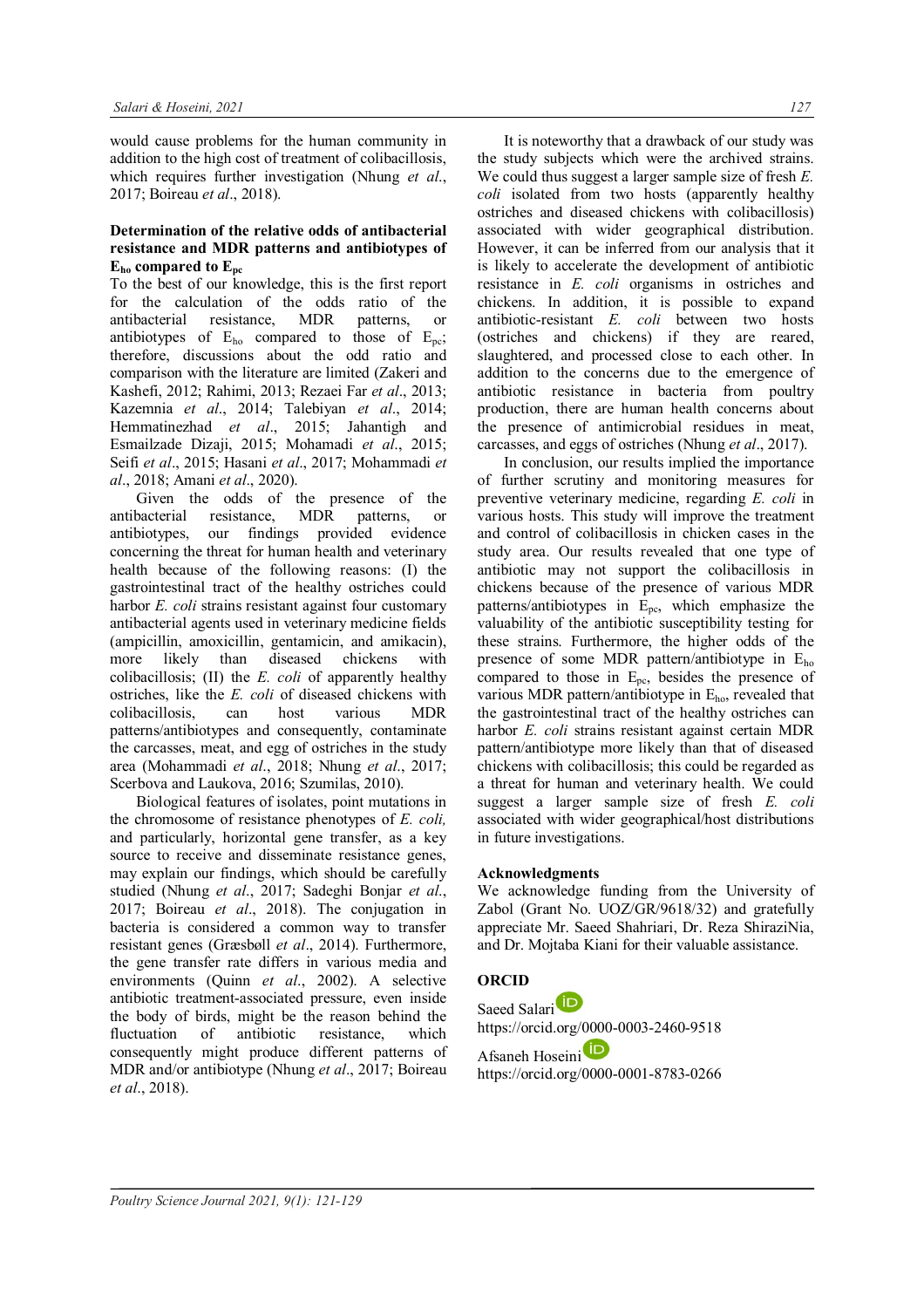would cause problems for the human community in addition to the high cost of treatment of colibacillosis, which requires further investigation (Nhung *et al*., 2017; Boireau *et al*., 2018).

### **Determination of the relative odds of antibacterial resistance and MDR patterns and antibiotypes of Eho compared to Epc**

To the best of our knowledge, this is the first report for the calculation of the odds ratio of the antibacterial resistance, MDR patterns, or antibiotypes of  $E_{ho}$  compared to those of  $E_{nc}$ ; therefore, discussions about the odd ratio and comparison with the literature are limited (Zakeri and Kashefi, 2012; Rahimi, 2013; Rezaei Far *et al*., 2013; Kazemnia *et al*., 2014; Talebiyan *et al*., 2014; Hemmatinezhad *et al*., 2015; Jahantigh and Esmailzade Dizaji, 2015; Mohamadi *et al*., 2015; Seifi *et al*., 2015; Hasani *et al*., 2017; Mohammadi *et al*., 2018; Amani *et al*., 2020).

Given the odds of the presence of the antibacterial resistance, MDR patterns, or antibiotypes, our findings provided evidence concerning the threat for human health and veterinary health because of the following reasons: (I) the gastrointestinal tract of the healthy ostriches could harbor *E. coli* strains resistant against four customary antibacterial agents used in veterinary medicine fields (ampicillin, amoxicillin, gentamicin, and amikacin), more likely than diseased chickens with colibacillosis; (II) the *E. coli* of apparently healthy ostriches, like the *E. coli* of diseased chickens with colibacillosis, can host various MDR patterns/antibiotypes and consequently, contaminate the carcasses, meat, and egg of ostriches in the study area (Mohammadi *et al*., 2018; Nhung *et al*., 2017; Scerbova and Laukova, 2016; Szumilas, 2010).

Biological features of isolates, point mutations in the chromosome of resistance phenotypes of *E. coli,* and particularly, horizontal gene transfer, as a key source to receive and disseminate resistance genes, may explain our findings, which should be carefully studied (Nhung *et al*., 2017; Sadeghi Bonjar *et al*., 2017; Boireau *et al*., 2018). The conjugation in bacteria is considered a common way to transfer resistant genes (Græsbøll *et al*., 2014). Furthermore, the gene transfer rate differs in various media and environments (Quinn *et al*., 2002). A selective antibiotic treatment-associated pressure, even inside the body of birds, might be the reason behind the fluctuation of antibiotic resistance, which consequently might produce different patterns of MDR and/or antibiotype (Nhung *et al*., 2017; Boireau *et al*., 2018).

It is noteworthy that a drawback of our study was the study subjects which were the archived strains. We could thus suggest a larger sample size of fresh *E. coli* isolated from two hosts (apparently healthy ostriches and diseased chickens with colibacillosis) associated with wider geographical distribution. However, it can be inferred from our analysis that it is likely to accelerate the development of antibiotic resistance in *E. coli* organisms in ostriches and chickens. In addition, it is possible to expand antibiotic-resistant *E. coli* between two hosts (ostriches and chickens) if they are reared, slaughtered, and processed close to each other. In addition to the concerns due to the emergence of antibiotic resistance in bacteria from poultry production, there are human health concerns about the presence of antimicrobial residues in meat, carcasses, and eggs of ostriches (Nhung *et al*., 2017).

In conclusion, our results implied the importance of further scrutiny and monitoring measures for preventive veterinary medicine, regarding *E. coli* in various hosts. This study will improve the treatment and control of colibacillosis in chicken cases in the study area. Our results revealed that one type of antibiotic may not support the colibacillosis in chickens because of the presence of various MDR patterns/antibiotypes in  $E_{\text{pc}}$ , which emphasize the valuability of the antibiotic susceptibility testing for these strains. Furthermore, the higher odds of the presence of some MDR pattern/antibiotype in Eho compared to those in  $E_{\text{pc}}$ , besides the presence of various MDR pattern/antibiotype in Eho, revealed that the gastrointestinal tract of the healthy ostriches can harbor *E. coli* strains resistant against certain MDR pattern/antibiotype more likely than that of diseased chickens with colibacillosis; this could be regarded as a threat for human and veterinary health. We could suggest a larger sample size of fresh *E. coli* associated with wider geographical/host distributions in future investigations.

## **Acknowledgments**

We acknowledge funding from the University of Zabol (Grant No. UOZ/GR/9618/32) and gratefully appreciate Mr. Saeed Shahriari, Dr. Reza ShiraziNia, and Dr. Mojtaba Kiani for their valuable assistance.

## **ORCID**

Saeed Salari<sup>D</sup> https://orcid.org/0000-0003-2460-9518

Afsaneh Hoseini https://orcid.org/0000-0001-8783-0266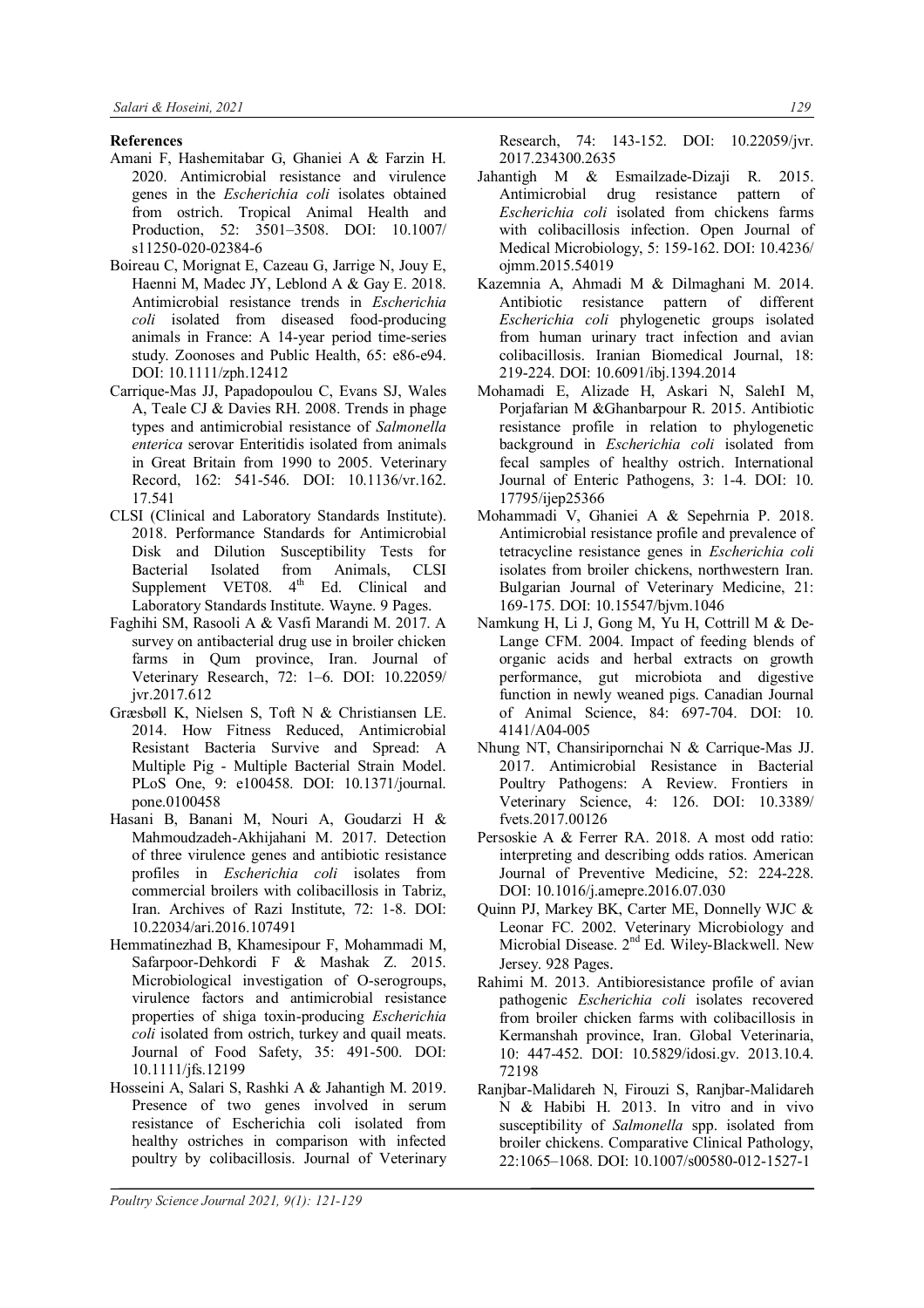### **References**

- Amani F, Hashemitabar G, Ghaniei A & Farzin H. 2020. Antimicrobial resistance and virulence genes in the *Escherichia coli* isolates obtained from ostrich. Tropical Animal Health and Production, 52: 3501–3508. DOI: 10.1007/ s11250-020-02384-6
- Boireau C, Morignat E, Cazeau G, Jarrige N, Jouy E, Haenni M, Madec JY, Leblond A & Gay E. 2018. Antimicrobial resistance trends in *Escherichia coli* isolated from diseased food-producing animals in France: A 14-year period time-series study. Zoonoses and Public Health, 65: e86-e94. DOI: 10.1111/zph.12412
- Carrique-Mas JJ, Papadopoulou C, Evans SJ, Wales A, Teale CJ & Davies RH. 2008. Trends in phage types and antimicrobial resistance of *Salmonella enterica* serovar Enteritidis isolated from animals in Great Britain from 1990 to 2005. Veterinary Record, 162: 541-546. DOI: 10.1136/vr.162. 17.541
- CLSI (Clinical and Laboratory Standards Institute). 2018. Performance Standards for Antimicrobial Disk and Dilution Susceptibility Tests for Bacterial Isolated from Animals, CLSI Supplement VET08.  $4<sup>th</sup>$  Ed. Clinical and Laboratory Standards Institute. Wayne. 9 Pages.
- Faghihi SM, Rasooli A & Vasfi Marandi M. 2017. A survey on antibacterial drug use in broiler chicken farms in Qum province, Iran. Journal of Veterinary Research, 72: 1–6. DOI: 10.22059/ jvr.2017.612
- Græsbøll K, Nielsen S, Toft N & Christiansen LE. 2014. How Fitness Reduced, Antimicrobial Resistant Bacteria Survive and Spread: A Multiple Pig - Multiple Bacterial Strain Model. PLoS One, 9: e100458. DOI: 10.1371/journal. pone.0100458
- Hasani B, Banani M, Nouri A, Goudarzi H & Mahmoudzadeh-Akhijahani M. 2017. Detection of three virulence genes and antibiotic resistance profiles in *Escherichia coli* isolates from commercial broilers with colibacillosis in Tabriz, Iran. Archives of Razi Institute, 72: 1-8. DOI: 10.22034/ari.2016.107491
- Hemmatinezhad B, Khamesipour F, Mohammadi M, Safarpoor-Dehkordi F & Mashak Z. 2015. Microbiological investigation of O-serogroups, virulence factors and antimicrobial resistance properties of shiga toxin-producing *Escherichia coli* isolated from ostrich, turkey and quail meats. Journal of Food Safety, 35: 491-500. DOI: 10.1111/jfs.12199
- Hosseini A, Salari S, Rashki A & Jahantigh M. 2019. Presence of two genes involved in serum resistance of Escherichia coli isolated from healthy ostriches in comparison with infected poultry by colibacillosis. Journal of Veterinary

Research, 74: 143-152. DOI: 10.22059/jvr. 2017.234300.2635

- Jahantigh M & Esmailzade-Dizaji R. 2015. Antimicrobial drug resistance pattern of *Escherichia coli* isolated from chickens farms with colibacillosis infection. Open Journal of Medical Microbiology, 5: 159-162. DOI: 10.4236/ ojmm.2015.54019
- Kazemnia A, Ahmadi M & Dilmaghani M. 2014. Antibiotic resistance pattern of different *Escherichia coli* phylogenetic groups isolated from human urinary tract infection and avian colibacillosis. Iranian Biomedical Journal, 18: 219-224. DOI: 10.6091/ibj.1394.2014
- Mohamadi E, Alizade H, Askari N, SalehI M, Porjafarian M &Ghanbarpour R. 2015. Antibiotic resistance profile in relation to phylogenetic background in *Escherichia coli* isolated from fecal samples of healthy ostrich. International Journal of Enteric Pathogens, 3: 1-4. DOI: 10. 17795/ijep25366
- Mohammadi V, Ghaniei A & Sepehrnia P. 2018. Antimicrobial resistance profile and prevalence of tetracycline resistance genes in *Escherichia coli* isolates from broiler chickens, northwestern Iran. Bulgarian Journal of Veterinary Medicine, 21: 169-175. DOI: 10.15547/bjvm.1046
- Namkung H, Li J, Gong M, Yu H, Cottrill M & De-Lange CFM. 2004. Impact of feeding blends of organic acids and herbal extracts on growth performance, gut microbiota and digestive function in newly weaned pigs. Canadian Journal of Animal Science, 84: 697-704. DOI: 10. 4141/A04-005
- Nhung NT, Chansiripornchai N & Carrique-Mas JJ. 2017. Antimicrobial Resistance in Bacterial Poultry Pathogens: A Review. Frontiers in Veterinary Science, 4: 126. DOI: 10.3389/ fvets.2017.00126
- Persoskie A & Ferrer RA. 2018. A most odd ratio: interpreting and describing odds ratios. American Journal of Preventive Medicine, 52: 224-228. DOI: 10.1016/j.amepre.2016.07.030
- Quinn PJ, Markey BK, Carter ME, Donnelly WJC & Leonar FC. 2002. Veterinary Microbiology and Microbial Disease. 2<sup>nd</sup> Ed. Wiley-Blackwell. New Jersey. 928 Pages.
- Rahimi M. 2013. Antibioresistance profile of avian pathogenic *Escherichia coli* isolates recovered from broiler chicken farms with colibacillosis in Kermanshah province, Iran. Global Veterinaria, 10: 447-452. DOI: 10.5829/idosi.gv. 2013.10.4. 72198
- Ranjbar-Malidareh N, Firouzi S, Ranjbar-Malidareh N & Habibi H. 2013. In vitro and in vivo susceptibility of *Salmonella* spp. isolated from broiler chickens. Comparative Clinical Pathology, 22:1065–1068. DOI: 10.1007/s00580-012-1527-1